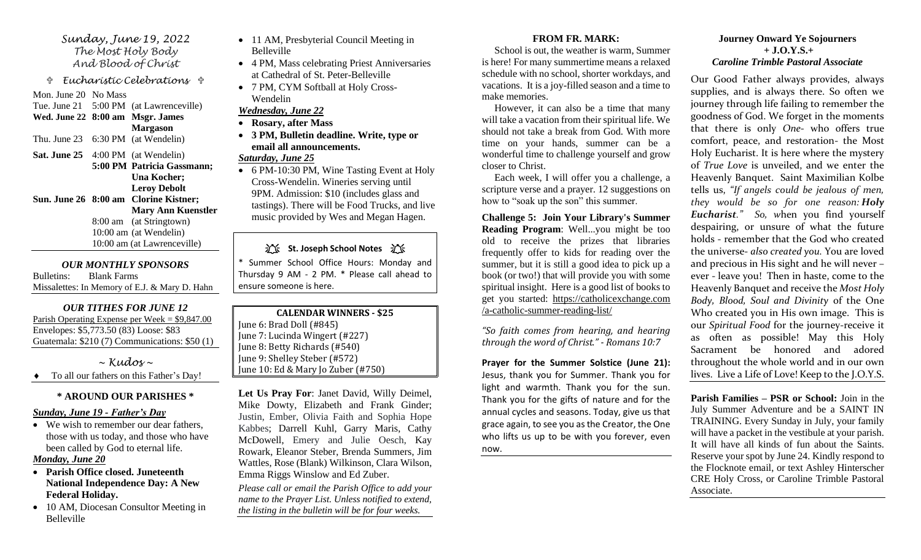*Sunday, June 19, 2022 The Most Holy Body And Blood of Christ* 

 *Eucharistic Celebrations* 

Mon. June 20 No Mass Tue. June 21 5:00 PM (at Lawrenceville)

**Wed. June 22 8:00 am Msgr. James Margason**

Thu. June 23 6:30 PM (at Wendelin)

**Sat. June 25** 4:00 PM (at Wendelin) **5:00 PM Patricia Gassmann; Una Kocher; Leroy Debolt Sun. June 26 8:00 am Clorine Kistner; Mary Ann Kuenstler**

8:00 am (at Stringtown) 10:00 am (at Wendelin) 10:00 am (at Lawrenceville)

*OUR MONTHLY SPONSORS* Bulletins: Blank Farms Missalettes: In Memory of E.J. & Mary D. Hahn

### *OUR TITHES FOR JUNE 12*

Parish Operating Expense per Week = \$9,847.00 Envelopes: \$5,773.50 (83) Loose: \$83 Guatemala: \$210 (7) Communications: \$50 (1)

*~ Kudos ~*

To all our fathers on this Father's Day!

# **\* AROUND OUR PARISHES \***

### *Sunday, June 19 - Father's Day*

• We wish to remember our dear fathers, those with us today, and those who have been called by God to eternal life.

# *Monday, June 20*

- **Parish Office closed. Juneteenth National Independence Day: A New Federal Holiday.**
- 10 AM, Diocesan Consultor Meeting in Belleville
- 11 AM, Presbyterial Council Meeting in Belleville
- 4 PM, Mass celebrating Priest Anniversaries at Cathedral of St. Peter-Belleville
- 7 PM, CYM Softball at Holy Cross-Wendelin

# *Wednesday, June 22*

- **Rosary, after Mass**
- **3 PM, Bulletin deadline. Write, type or email all announcements.**

## *Saturday, June 25*

• 6 PM-10:30 PM, Wine Tasting Event at Holy Cross-Wendelin. Wineries serving until 9PM. Admission: \$10 (includes glass and tastings). There will be Food Trucks, and live music provided by Wes and Megan Hagen.

**江、St. Joseph School Notes** 江、

\* Summer School Office Hours: Monday and Thursday 9 AM - 2 PM. \* Please call ahead to ensure someone is here.

**CALENDAR WINNERS - \$25** June 6: Brad Doll (#845) June 7: Lucinda Wingert (#227) June 8: Betty Richards (#540) June 9: Shelley Steber (#572) June 10: Ed & Mary Jo Zuber (#750)

**Let Us Pray For**: Janet David, Willy Deimel, Mike Dowty, Elizabeth and Frank Ginder; Justin, Ember, Olivia Faith and Sophia Hope Kabbes; Darrell Kuhl, Garry Maris, Cathy McDowell, Emery and Julie Oesch, Kay Rowark, Eleanor Steber, Brenda Summers, Jim Wattles, Rose (Blank) Wilkinson, Clara Wilson, Emma Riggs Winslow and Ed Zuber.

*Please call or email the Parish Office to add your name to the Prayer List. Unless notified to extend, the listing in the bulletin will be for four weeks.*

## **FROM FR. MARK:**

 School is out, the weather is warm, Summer is here! For many summertime means a relaxed schedule with no school, shorter workdays, and vacations. It is a joy-filled season and a time to make memories.

 However, it can also be a time that many will take a vacation from their spiritual life. We should not take a break from God. With more time on your hands, summer can be a wonderful time to challenge yourself and grow closer to Christ.

 Each week, I will offer you a challenge, a scripture verse and a prayer. 12 suggestions on how to "soak up the son" this summer.

**Challenge 5: Join Your Library's Summer Reading Program**: Well...you might be too old to receive the prizes that libraries frequently offer to kids for reading over the summer, but it is still a good idea to pick up a book (or two!) that will provide you with some spiritual insight. Here is a good list of books to get you started: https://catholicexchange.com /a-catholic-summer-reading-list/

*"So faith comes from hearing, and hearing through the word of Christ." - Romans 10:7*

**Prayer for the Summer Solstice (June 21):**  Jesus, thank you for Summer. Thank you for light and warmth. Thank you for the sun. Thank you for the gifts of nature and for the annual cycles and seasons. Today, give us that grace again, to see you as the Creator, the One who lifts us up to be with you forever, even now.

### **Journey Onward Ye Sojourners + J.O.Y.S.+**  *Caroline Trimble Pastoral Associate*

Our Good Father always provides, always supplies, and is always there. So often we journey through life failing to remember the goodness of God. We forget in the moments that there is only *One*- who offers true comfort, peace, and restoration- the Most Holy Eucharist. It is here where the mystery of *True Love* is unveiled, and we enter the Heavenly Banquet. Saint Maximilian Kolbe tells us, *"If angels could be jealous of men, they would be so for one reason: Holy Eucharist." So, w*hen you find yourself despairing, or unsure of what the future holds - remember that the God who created the universe- *also created you.* You are loved and precious in His sight and he will never – ever - leave you! Then in haste, come to the Heavenly Banquet and receive the *Most Holy Body, Blood, Soul and Divinity* of the One Who created you in His own image. This is our *Spiritual Food* for the journey-receive it as often as possible! May this Holy Sacrament be honored and adored throughout the whole world and in our own lives. Live a Life of Love! Keep to the J.O.Y.S.

**Parish Families – PSR or School:** Join in the July Summer Adventure and be a SAINT IN TRAINING. Every Sunday in July, your family will have a packet in the vestibule at your parish. It will have all kinds of fun about the Saints. Reserve your spot by June 24. Kindly respond to the Flocknote email, or text Ashley Hinterscher CRE Holy Cross, or Caroline Trimble Pastoral Associate.